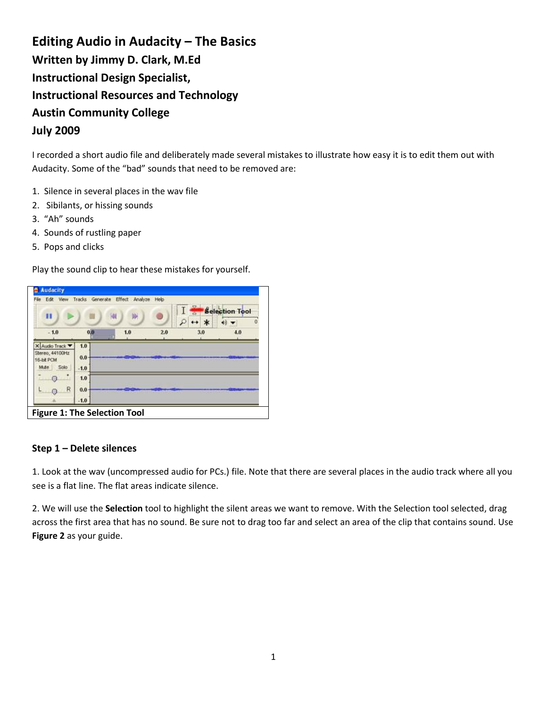# **Editing Audio in Audacity – The Basics Written by Jimmy D. Clark, M.Ed Instructional Design Specialist, Instructional Resources and Technology Austin Community College July 2009**

I recorded a short audio file and deliberately made several mistakes to illustrate how easy it is to edit them out with Audacity. Some of the "bad" sounds that need to be removed are:

- 1. Silence in several places in the wav file
- 2. Sibilants, or hissing sounds
- 3. "Ah" sounds
- 4. Sounds of rustling paper
- 5. Pops and clicks

Play the sound clip to hear these mistakes for yourself.

| Edit View                     |        | Tracks Generate Effect Analyze Help |     |         | <b>Selection Tool</b> |
|-------------------------------|--------|-------------------------------------|-----|---------|-----------------------|
| н                             |        | 剛<br>ŀИ                             |     | $\star$ | $\Omega$              |
| $-1.0$                        | 0,0    | 1.0                                 | 2.0 | 3.0     | 4.0                   |
| X Audio Track                 | 1.0    |                                     |     |         |                       |
| Stereo, 44100Hz<br>16-bit PCM | 0.0    |                                     |     |         |                       |
| Solo<br>Mute                  | $-1.0$ |                                     |     |         |                       |
| а                             | 1.0    |                                     |     |         |                       |
| R                             | 0.0    |                                     |     |         |                       |
|                               | $-1.0$ |                                     |     |         |                       |

#### **Step 1 – Delete silences**

1. Look at the wav (uncompressed audio for PCs.) file. Note that there are several places in the audio track where all you see is a flat line. The flat areas indicate silence.

2. We will use the **Selection** tool to highlight the silent areas we want to remove. With the Selection tool selected, drag across the first area that has no sound. Be sure not to drag too far and select an area of the clip that contains sound. Use **Figure 2** as your guide.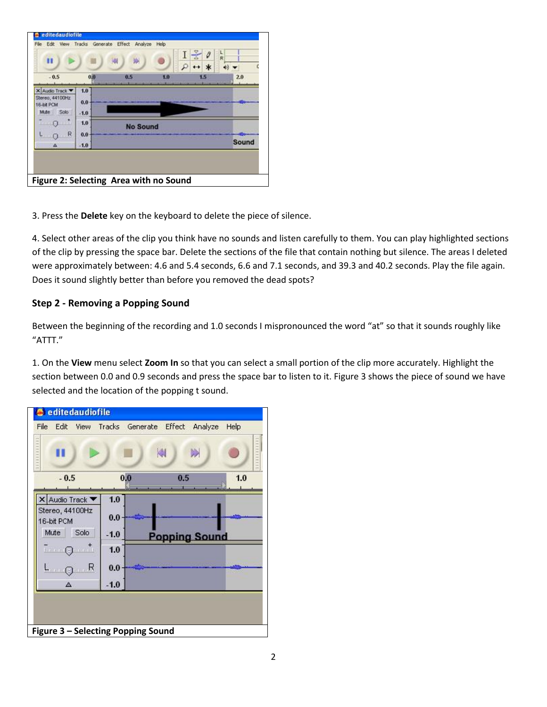| $-0.5$                        | 0.0    | 0.5             | 1.0 | 2.0          |
|-------------------------------|--------|-----------------|-----|--------------|
|                               |        |                 |     |              |
| X Audio Track                 | 1.0    |                 |     |              |
| Stereo, 44100Hz<br>16-bit PCM | 0.0    |                 |     |              |
| Solo<br>Mute                  | $-1.0$ |                 |     |              |
| $\Omega$                      | 1.0    | <b>No Sound</b> |     |              |
| $\mathbb{R}$<br>Ω             | 0.0    |                 |     |              |
| Δ                             | $-1.0$ |                 |     | <b>Sound</b> |

3. Press the **Delete** key on the keyboard to delete the piece of silence.

4. Select other areas of the clip you think have no sounds and listen carefully to them. You can play highlighted sections of the clip by pressing the space bar. Delete the sections of the file that contain nothing but silence. The areas I deleted were approximately between: 4.6 and 5.4 seconds, 6.6 and 7.1 seconds, and 39.3 and 40.2 seconds. Play the file again. Does it sound slightly better than before you removed the dead spots?

## **Step 2 - Removing a Popping Sound**

Between the beginning of the recording and 1.0 seconds I mispronounced the word "at" so that it sounds roughly like "ATTT."

1. On the **View** menu select **Zoom In** so that you can select a small portion of the clip more accurately. Highlight the section between 0.0 and 0.9 seconds and press the space bar to listen to it. Figure 3 shows the piece of sound we have selected and the location of the popping t sound.

|                               |        | Þ<br>21              |     |
|-------------------------------|--------|----------------------|-----|
| $-0.5$                        | 0.0    | 0.5                  | 1.0 |
| X Audio Track ▼               | 1.0    |                      |     |
| Stereo, 44100Hz<br>16-bit PCM | 0.0    |                      |     |
| Solo<br>Mute                  | $-1.0$ | <b>Popping Sound</b> |     |
| - ெட்                         | 1.0    |                      |     |
| L <sub>O</sub> R              | 0.0    |                      |     |
| Δ                             | $-1.0$ |                      |     |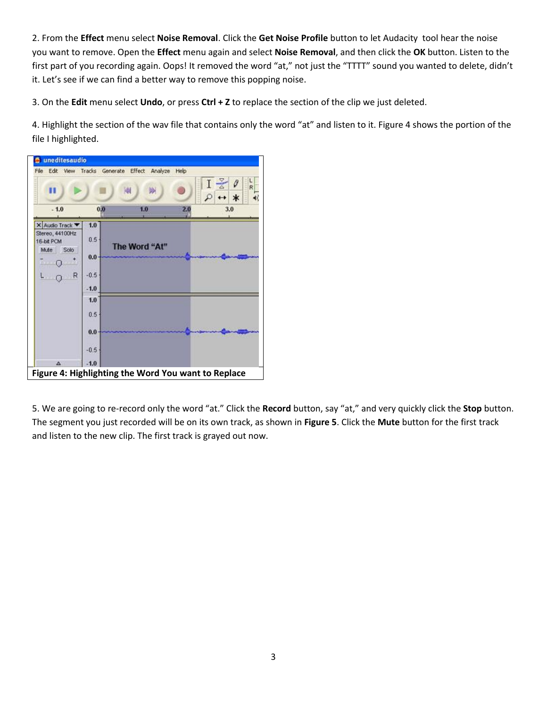2. From the **Effect** menu select **Noise Removal**. Click the **Get Noise Profile** button to let Audacity tool hear the noise you want to remove. Open the **Effect** menu again and select **Noise Removal**, and then click the **OK** button. Listen to the first part of you recording again. Oops! It removed the word "at," not just the "TTTT" sound you wanted to delete, didn't it. Let's see if we can find a better way to remove this popping noise.

3. On the **Edit** menu select **Undo**, or press **Ctrl + Z** to replace the section of the clip we just deleted.

4. Highlight the section of the wav file that contains only the word "at" and listen to it. Figure 4 shows the portion of the file I highlighted.



5. We are going to re-record only the word "at." Click the **Record** button, say "at," and very quickly click the **Stop** button. The segment you just recorded will be on its own track, as shown in **Figure 5**. Click the **Mute** button for the first track and listen to the new clip. The first track is grayed out now.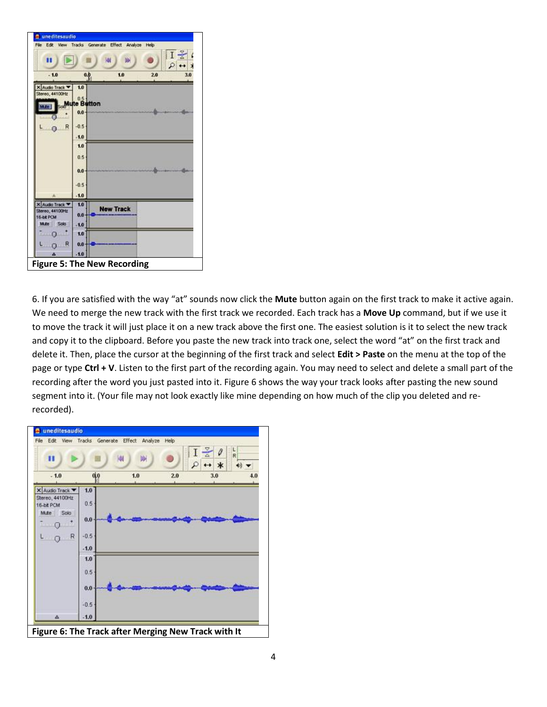

6. If you are satisfied with the way "at" sounds now click the **Mute** button again on the first track to make it active again. We need to merge the new track with the first track we recorded. Each track has a **Move Up** command, but if we use it to move the track it will just place it on a new track above the first one. The easiest solution is it to select the new track and copy it to the clipboard. Before you paste the new track into track one, select the word "at" on the first track and delete it. Then, place the cursor at the beginning of the first track and select **Edit > Paste** on the menu at the top of the page or type **Ctrl + V**. Listen to the first part of the recording again. You may need to select and delete a small part of the recording after the word you just pasted into it. Figure 6 shows the way your track looks after pasting the new sound segment into it. (Your file may not look exactly like mine depending on how much of the clip you deleted and rerecorded).

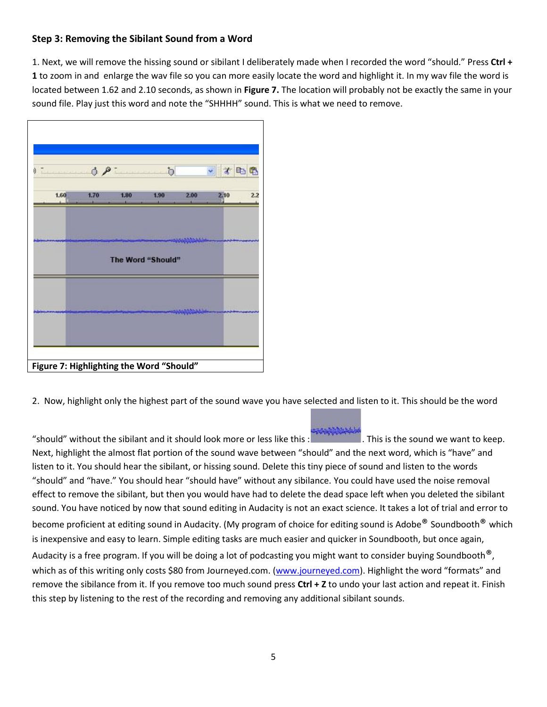## **Step 3: Removing the Sibilant Sound from a Word**

1. Next, we will remove the hissing sound or sibilant I deliberately made when I recorded the word "should." Press **Ctrl + 1** to zoom in and enlarge the wav file so you can more easily locate the word and highlight it. In my wav file the word is located between 1.62 and 2.10 seconds, as shown in **Figure 7.** The location will probably not be exactly the same in your sound file. Play just this word and note the "SHHHH" sound. This is what we need to remove.



2. Now, highlight only the highest part of the sound wave you have selected and listen to it. This should be the word

"should" without the sibilant and it should look more or less like this : . This is the sound we want to keep. Next, highlight the almost flat portion of the sound wave between "should" and the next word, which is "have" and listen to it. You should hear the sibilant, or hissing sound. Delete this tiny piece of sound and listen to the words "should" and "have." You should hear "should have" without any sibilance. You could have used the noise removal effect to remove the sibilant, but then you would have had to delete the dead space left when you deleted the sibilant sound. You have noticed by now that sound editing in Audacity is not an exact science. It takes a lot of trial and error to become proficient at editing sound in Audacity. (My program of choice for editing sound is Adobe® Soundbooth® which is inexpensive and easy to learn. Simple editing tasks are much easier and quicker in Soundbooth, but once again, Audacity is a free program. If you will be doing a lot of podcasting you might want to consider buying Soundbooth<sup>®</sup>,

which as of this writing only costs \$80 from Journeyed.com. [\(www.journeyed.com\)](http://www.journeyed.com/). Highlight the word "formats" and remove the sibilance from it. If you remove too much sound press **Ctrl + Z** to undo your last action and repeat it. Finish this step by listening to the rest of the recording and removing any additional sibilant sounds.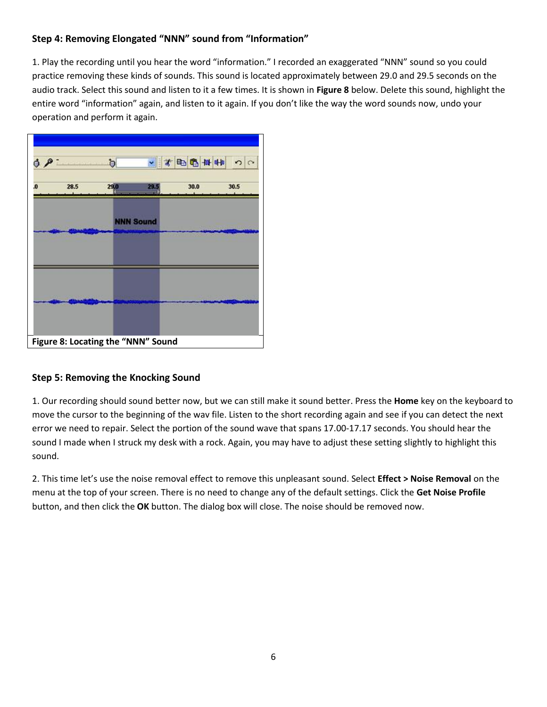# **Step 4: Removing Elongated "NNN" sound from "Information"**

1. Play the recording until you hear the word "information." I recorded an exaggerated "NNN" sound so you could practice removing these kinds of sounds. This sound is located approximately between 29.0 and 29.5 seconds on the audio track. Select this sound and listen to it a few times. It is shown in **Figure 8** below. Delete this sound, highlight the entire word "information" again, and listen to it again. If you don't like the way the word sounds now, undo your operation and perform it again.

|    | OQ   | $\mathbf b$ |                  | - 大田田山 | $\frac{1}{2}$ |
|----|------|-------------|------------------|--------|---------------|
| O. | 28.5 | 29.0        | 29.5             | 30.0   | 30.5          |
|    |      |             | <b>NNN Sound</b> |        |               |
|    |      |             |                  |        |               |
|    |      |             |                  |        |               |
|    |      |             |                  |        |               |

## **Step 5: Removing the Knocking Sound**

1. Our recording should sound better now, but we can still make it sound better. Press the **Home** key on the keyboard to move the cursor to the beginning of the wav file. Listen to the short recording again and see if you can detect the next error we need to repair. Select the portion of the sound wave that spans 17.00-17.17 seconds. You should hear the sound I made when I struck my desk with a rock. Again, you may have to adjust these setting slightly to highlight this sound.

2. This time let's use the noise removal effect to remove this unpleasant sound. Select **Effect > Noise Removal** on the menu at the top of your screen. There is no need to change any of the default settings. Click the **Get Noise Profile** button, and then click the **OK** button. The dialog box will close. The noise should be removed now.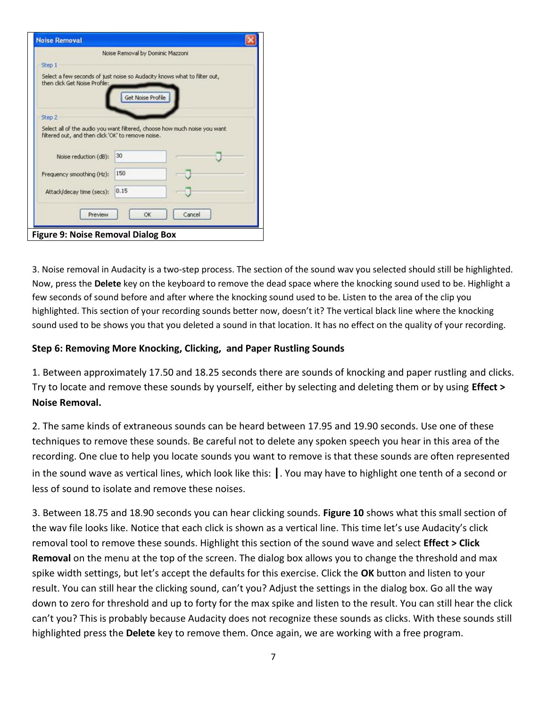| <b>Noise Removal</b>                                                                                                            |                                  |        |
|---------------------------------------------------------------------------------------------------------------------------------|----------------------------------|--------|
|                                                                                                                                 | Noise Removal by Dominic Mazzoni |        |
| Step 1                                                                                                                          |                                  |        |
| Select a few seconds of just noise so Audacity knows what to filter out,<br>then click Get Noise Profile:                       | Get Noise Profile                |        |
| Step 2                                                                                                                          |                                  |        |
| Select all of the audio you want filtered, choose how much noise you want<br>filtered out, and then click 'OK' to remove noise. |                                  |        |
| Noise reduction (dB):                                                                                                           | 30                               |        |
| Frequency smoothing (Hz):                                                                                                       | 150                              |        |
|                                                                                                                                 | 0.15                             |        |
| Attack/decay time (secs):                                                                                                       |                                  |        |
| Preview                                                                                                                         | OK                               | Cancel |

3. Noise removal in Audacity is a two-step process. The section of the sound wav you selected should still be highlighted. Now, press the **Delete** key on the keyboard to remove the dead space where the knocking sound used to be. Highlight a few seconds of sound before and after where the knocking sound used to be. Listen to the area of the clip you highlighted. This section of your recording sounds better now, doesn't it? The vertical black line where the knocking sound used to be shows you that you deleted a sound in that location. It has no effect on the quality of your recording.

# **Step 6: Removing More Knocking, Clicking, and Paper Rustling Sounds**

1. Between approximately 17.50 and 18.25 seconds there are sounds of knocking and paper rustling and clicks. Try to locate and remove these sounds by yourself, either by selecting and deleting them or by using **Effect > Noise Removal.**

2. The same kinds of extraneous sounds can be heard between 17.95 and 19.90 seconds. Use one of these techniques to remove these sounds. Be careful not to delete any spoken speech you hear in this area of the recording. One clue to help you locate sounds you want to remove is that these sounds are often represented in the sound wave as vertical lines, which look like this: **|**. You may have to highlight one tenth of a second or less of sound to isolate and remove these noises.

3. Between 18.75 and 18.90 seconds you can hear clicking sounds. **Figure 10** shows what this small section of the wav file looks like. Notice that each click is shown as a vertical line. This time let's use Audacity's click removal tool to remove these sounds. Highlight this section of the sound wave and select **Effect > Click Removal** on the menu at the top of the screen. The dialog box allows you to change the threshold and max spike width settings, but let's accept the defaults for this exercise. Click the **OK** button and listen to your result. You can still hear the clicking sound, can't you? Adjust the settings in the dialog box. Go all the way down to zero for threshold and up to forty for the max spike and listen to the result. You can still hear the click can't you? This is probably because Audacity does not recognize these sounds as clicks. With these sounds still highlighted press the **Delete** key to remove them. Once again, we are working with a free program.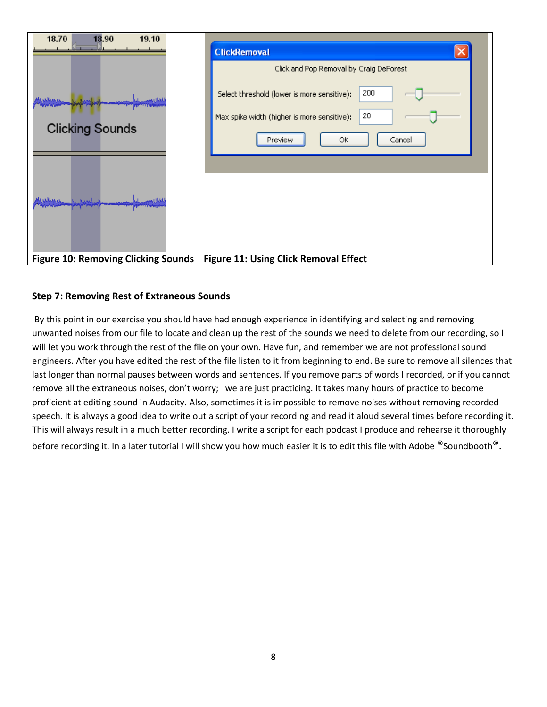| 18.70<br>18.90<br>19.10                    | <b>ClickRemoval</b>                                                           |
|--------------------------------------------|-------------------------------------------------------------------------------|
|                                            | Click and Pop Removal by Craig DeForest                                       |
| where i bard                               | 200<br>Select threshold (lower is more sensitive):                            |
| <b>Clicking Sounds</b>                     | 20<br>Max spike width (higher is more sensitive):<br>OK.<br>Cancel<br>Preview |
| المحاربات حفظه                             |                                                                               |
| <b>Figure 10: Removing Clicking Sounds</b> | <b>Figure 11: Using Click Removal Effect</b>                                  |

## **Step 7: Removing Rest of Extraneous Sounds**

By this point in our exercise you should have had enough experience in identifying and selecting and removing unwanted noises from our file to locate and clean up the rest of the sounds we need to delete from our recording, so I will let you work through the rest of the file on your own. Have fun, and remember we are not professional sound engineers. After you have edited the rest of the file listen to it from beginning to end. Be sure to remove all silences that last longer than normal pauses between words and sentences. If you remove parts of words I recorded, or if you cannot remove all the extraneous noises, don't worry; we are just practicing. It takes many hours of practice to become proficient at editing sound in Audacity. Also, sometimes it is impossible to remove noises without removing recorded speech. It is always a good idea to write out a script of your recording and read it aloud several times before recording it. This will always result in a much better recording. I write a script for each podcast I produce and rehearse it thoroughly before recording it. In a later tutorial I will show you how much easier it is to edit this file with Adobe ®Soundbooth®.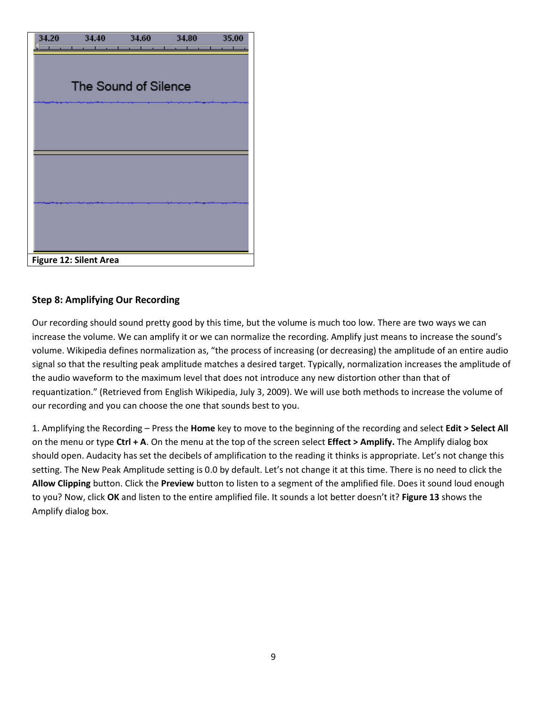

## **Step 8: Amplifying Our Recording**

Our recording should sound pretty good by this time, but the volume is much too low. There are two ways we can increase the volume. We can amplify it or we can normalize the recording. Amplify just means to increase the sound's volume. Wikipedia defines normalization as, "the process of increasing (or decreasing) the amplitude of an entire audio signal so that the resulting peak amplitude matches a desired target. Typically, normalization increases the amplitude of the audio waveform to the maximum level that does not introduce any new distortion other than that of requantization." (Retrieved from English Wikipedia, July 3, 2009). We will use both methods to increase the volume of our recording and you can choose the one that sounds best to you.

1. Amplifying the Recording – Press the **Home** key to move to the beginning of the recording and select **Edit > Select All** on the menu or type **Ctrl + A**. On the menu at the top of the screen select **Effect > Amplify.** The Amplify dialog box should open. Audacity has set the decibels of amplification to the reading it thinks is appropriate. Let's not change this setting. The New Peak Amplitude setting is 0.0 by default. Let's not change it at this time. There is no need to click the **Allow Clipping** button. Click the **Preview** button to listen to a segment of the amplified file. Does it sound loud enough to you? Now, click **OK** and listen to the entire amplified file. It sounds a lot better doesn't it? **Figure 13** shows the Amplify dialog box.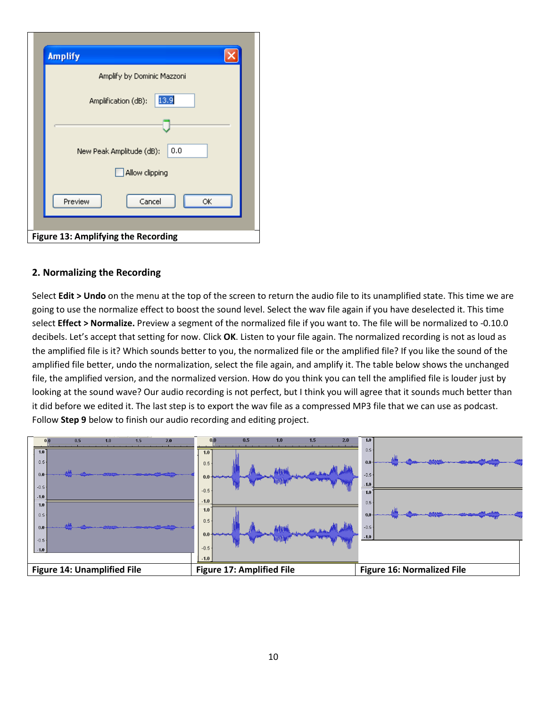|                            | <b>Amplify</b>                  |  |  |  |
|----------------------------|---------------------------------|--|--|--|
| Amplify by Dominic Mazzoni |                                 |  |  |  |
|                            | 13.9<br>Amplification (dB):     |  |  |  |
|                            |                                 |  |  |  |
|                            | 0.0<br>New Peak Amplitude (dB): |  |  |  |
|                            | Allow clipping                  |  |  |  |
|                            | Cancel<br>Preview<br>ОK         |  |  |  |
|                            |                                 |  |  |  |

## **2. Normalizing the Recording**

Select **Edit > Undo** on the menu at the top of the screen to return the audio file to its unamplified state. This time we are going to use the normalize effect to boost the sound level. Select the wav file again if you have deselected it. This time select **Effect > Normalize.** Preview a segment of the normalized file if you want to. The file will be normalized to -0.10.0 decibels. Let's accept that setting for now. Click **OK**. Listen to your file again. The normalized recording is not as loud as the amplified file is it? Which sounds better to you, the normalized file or the amplified file? If you like the sound of the amplified file better, undo the normalization, select the file again, and amplify it. The table below shows the unchanged file, the amplified version, and the normalized version. How do you think you can tell the amplified file is louder just by looking at the sound wave? Our audio recording is not perfect, but I think you will agree that it sounds much better than it did before we edited it. The last step is to export the wav file as a compressed MP3 file that we can use as podcast. Follow **Step 9** below to finish our audio recording and editing project.